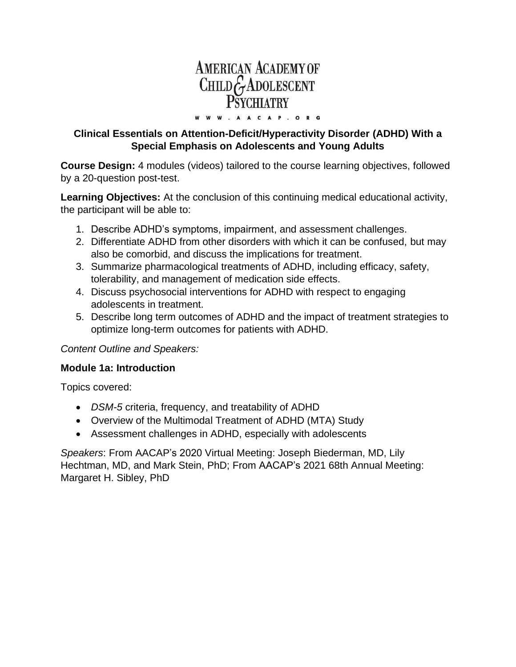# **AMERICAN ACADEMY OF** CHILDGADOLESCENT W. AACAP. ORG

**Clinical Essentials on Attention-Deficit/Hyperactivity Disorder (ADHD) With a Special Emphasis on Adolescents and Young Adults**

w w

**Course Design:** 4 modules (videos) tailored to the course learning objectives, followed by a 20-question post-test.

**Learning Objectives:** At the conclusion of this continuing medical educational activity, the participant will be able to:

- 1. Describe ADHD's symptoms, impairment, and assessment challenges.
- 2. Differentiate ADHD from other disorders with which it can be confused, but may also be comorbid, and discuss the implications for treatment.
- 3. Summarize pharmacological treatments of ADHD, including efficacy, safety, tolerability, and management of medication side effects.
- 4. Discuss psychosocial interventions for ADHD with respect to engaging adolescents in treatment.
- 5. Describe long term outcomes of ADHD and the impact of treatment strategies to optimize long-term outcomes for patients with ADHD.

*Content Outline and Speakers:*

#### **Module 1a: Introduction**

Topics covered:

- *DSM-5* criteria, frequency, and treatability of ADHD
- Overview of the Multimodal Treatment of ADHD (MTA) Study
- Assessment challenges in ADHD, especially with adolescents

*Speakers*: From AACAP's 2020 Virtual Meeting: Joseph Biederman, MD, Lily Hechtman, MD, and Mark Stein, PhD; From AACAP's 2021 68th Annual Meeting: Margaret H. Sibley, PhD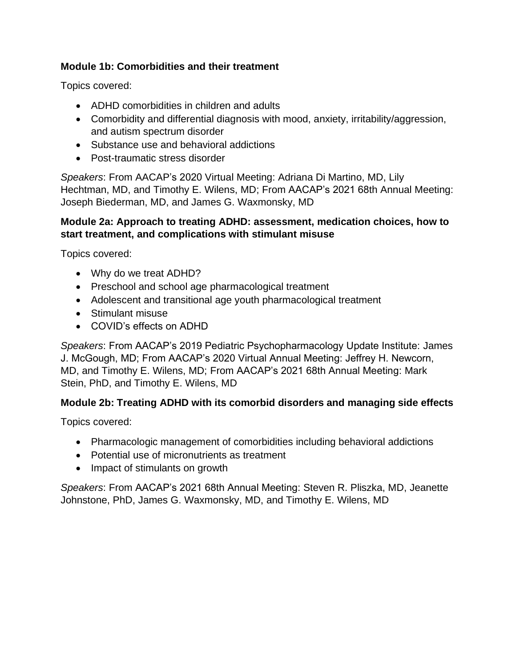## **Module 1b: Comorbidities and their treatment**

Topics covered:

- ADHD comorbidities in children and adults
- Comorbidity and differential diagnosis with mood, anxiety, irritability/aggression, and autism spectrum disorder
- Substance use and behavioral addictions
- Post-traumatic stress disorder

*Speakers*: From AACAP's 2020 Virtual Meeting: Adriana Di Martino, MD, Lily Hechtman, MD, and Timothy E. Wilens, MD; From AACAP's 2021 68th Annual Meeting: Joseph Biederman, MD, and James G. Waxmonsky, MD

#### **Module 2a: Approach to treating ADHD: assessment, medication choices, how to start treatment, and complications with stimulant misuse**

Topics covered:

- Why do we treat ADHD?
- Preschool and school age pharmacological treatment
- Adolescent and transitional age youth pharmacological treatment
- Stimulant misuse
- COVID's effects on ADHD

*Speakers*: From AACAP's 2019 Pediatric Psychopharmacology Update Institute: James J. McGough, MD; From AACAP's 2020 Virtual Annual Meeting: Jeffrey H. Newcorn, MD, and Timothy E. Wilens, MD; From AACAP's 2021 68th Annual Meeting: Mark Stein, PhD, and Timothy E. Wilens, MD

# **Module 2b: Treating ADHD with its comorbid disorders and managing side effects**

Topics covered:

- Pharmacologic management of comorbidities including behavioral addictions
- Potential use of micronutrients as treatment
- Impact of stimulants on growth

*Speakers*: From AACAP's 2021 68th Annual Meeting: Steven R. Pliszka, MD, Jeanette Johnstone, PhD, James G. Waxmonsky, MD, and Timothy E. Wilens, MD